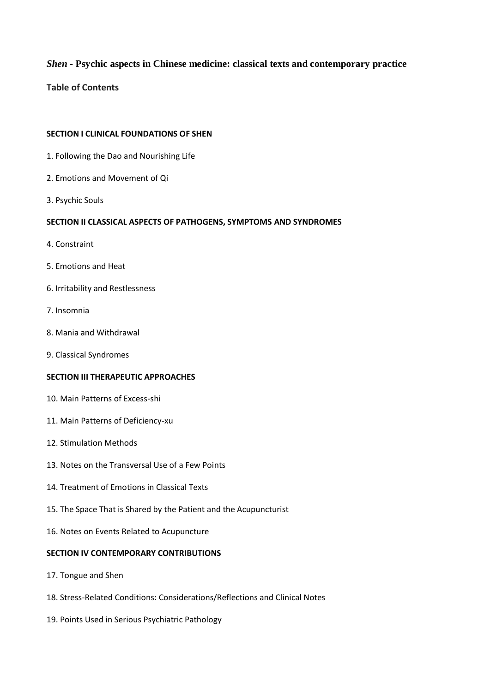# *Shen* **- Psychic aspects in Chinese medicine: classical texts and contemporary practice**

**Table of Contents**

### **SECTION I CLINICAL FOUNDATIONS OF SHEN**

- 1. Following the Dao and Nourishing Life
- 2. Emotions and Movement of Qi
- 3. Psychic Souls

## **SECTION II CLASSICAL ASPECTS OF PATHOGENS, SYMPTOMS AND SYNDROMES**

- 4. Constraint
- 5. Emotions and Heat
- 6. Irritability and Restlessness
- 7. Insomnia
- 8. Mania and Withdrawal
- 9. Classical Syndromes

### **SECTION III THERAPEUTIC APPROACHES**

- 10. Main Patterns of Excess-shi
- 11. Main Patterns of Deficiency-xu
- 12. Stimulation Methods
- 13. Notes on the Transversal Use of a Few Points
- 14. Treatment of Emotions in Classical Texts
- 15. The Space That is Shared by the Patient and the Acupuncturist
- 16. Notes on Events Related to Acupuncture

### **SECTION IV CONTEMPORARY CONTRIBUTIONS**

- 17. Tongue and Shen
- 18. Stress-Related Conditions: Considerations/Reflections and Clinical Notes
- 19. Points Used in Serious Psychiatric Pathology